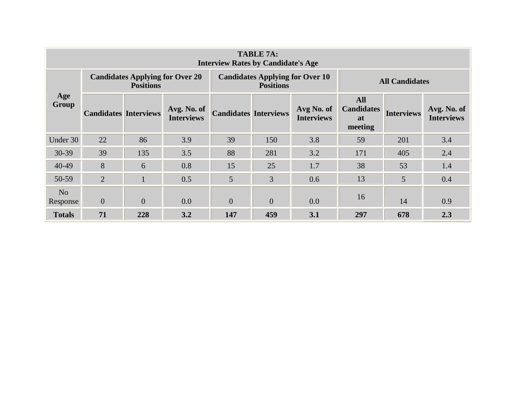| <b>TABLE 7A:</b><br><b>Interview Rates by Candidate's Age</b> |                              |                  |                                        |                                                            |          |                                 |                                                         |                   |                                  |  |  |  |
|---------------------------------------------------------------|------------------------------|------------------|----------------------------------------|------------------------------------------------------------|----------|---------------------------------|---------------------------------------------------------|-------------------|----------------------------------|--|--|--|
| Age<br>Group                                                  |                              | <b>Positions</b> | <b>Candidates Applying for Over 20</b> | <b>Candidates Applying for Over 10</b><br><b>Positions</b> |          |                                 | <b>All Candidates</b>                                   |                   |                                  |  |  |  |
|                                                               | <b>Candidates Interviews</b> |                  | Avg. No. of<br><b>Interviews</b>       | <b>Candidates Interviews</b>                               |          | Avg No. of<br><b>Interviews</b> | <b>All</b><br><b>Candidates</b><br><b>at</b><br>meeting | <b>Interviews</b> | Avg. No. of<br><b>Interviews</b> |  |  |  |
| Under 30                                                      | 22                           | 86               | 3.9                                    | 39                                                         | 150      | 3.8                             | 59                                                      | 201               | 3.4                              |  |  |  |
| 30-39                                                         | 39                           | 135              | 3.5                                    | 88                                                         | 281      | 3.2                             | 171                                                     | 405               | 2.4                              |  |  |  |
| $40 - 49$                                                     | 8                            | 6                | 0.8                                    | 15                                                         | 25       | 1.7                             | 38                                                      | 53                | 1.4                              |  |  |  |
| 50-59                                                         | $\overline{2}$               |                  | 0.5                                    | 5                                                          | 3        | 0.6                             | 13                                                      | 5                 | 0.4                              |  |  |  |
| N <sub>o</sub><br>Response                                    | $\overline{0}$               | $\overline{0}$   | 0.0                                    | $\overline{0}$                                             | $\theta$ | 0.0                             | 16                                                      | 14                | 0.9                              |  |  |  |
| <b>Totals</b>                                                 | 71                           | 228              | 3.2                                    | 147                                                        | 459      | 3.1                             | 297                                                     | 678               | 2.3                              |  |  |  |